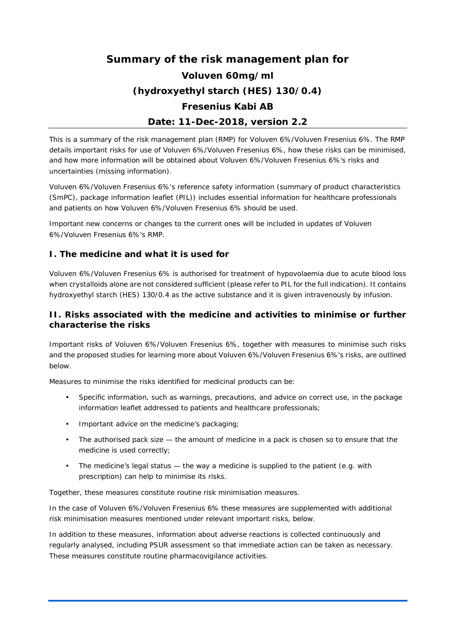# **Summary of the risk management plan for Voluven 60mg/ml (hydroxyethyl starch (HES) 130/0.4) Fresenius Kabi AB Date: 11-Dec-2018, version 2.2**

This is a summary of the risk management plan (RMP) for Voluven 6%/Voluven Fresenius 6%. The RMP details important risks for use of Voluven 6%/Voluven Fresenius 6%, how these risks can be minimised, and how more information will be obtained about Voluven 6%/Voluven Fresenius 6%'s risks and uncertainties (missing information).

Voluven 6%/Voluven Fresenius 6%'s reference safety information (summary of product characteristics (SmPC), package information leaflet (PIL)) includes essential information for healthcare professionals and patients on how Voluven 6%/Voluven Fresenius 6% should be used.

Important new concerns or changes to the current ones will be included in updates of Voluven 6%/Voluven Fresenius 6%'s RMP.

## **I. The medicine and what it is used for**

Voluven 6%/Voluven Fresenius 6% is authorised for treatment of hypovolaemia due to acute blood loss when crystalloids alone are not considered sufficient (please refer to PIL for the full indication). It contains hydroxyethyl starch (HES) 130/0.4 as the active substance and it is given intravenously by infusion.

## **II. Risks associated with the medicine and activities to minimise or further characterise the risks**

Important risks of Voluven 6%/Voluven Fresenius 6%, together with measures to minimise such risks and the proposed studies for learning more about Voluven 6%/Voluven Fresenius 6%'s risks, are outlined below.

Measures to minimise the risks identified for medicinal products can be:

- Specific information, such as warnings, precautions, and advice on correct use, in the package information leaflet addressed to patients and healthcare professionals;
- Important advice on the medicine's packaging;
- The authorised pack size the amount of medicine in a pack is chosen so to ensure that the medicine is used correctly;
- The medicine's legal status the way a medicine is supplied to the patient (e.g. with prescription) can help to minimise its risks.

Together, these measures constitute *routine risk minimisation* measures.

In the case of Voluven 6%/Voluven Fresenius 6% these measures are supplemented with additional risk minimisation measures mentioned under relevant important risks, below.

In addition to these measures, information about adverse reactions is collected continuously and regularly analysed, including PSUR assessment so that immediate action can be taken as necessary. These measures constitute *routine pharmacovigilance activities*.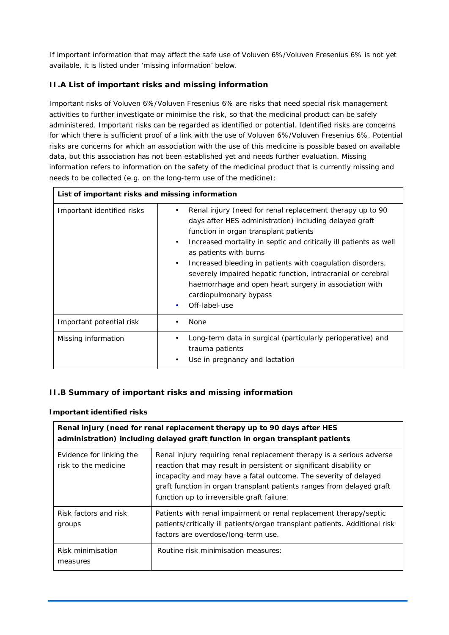If important information that may affect the safe use of Voluven 6%/Voluven Fresenius 6% is not yet available, it is listed under 'missing information' below.

# **II.A List of important risks and missing information**

Important risks of Voluven 6%/Voluven Fresenius 6% are risks that need special risk management activities to further investigate or minimise the risk, so that the medicinal product can be safely administered. Important risks can be regarded as identified or potential. Identified risks are concerns for which there is sufficient proof of a link with the use of Voluven 6%/Voluven Fresenius 6%. Potential risks are concerns for which an association with the use of this medicine is possible based on available data, but this association has not been established yet and needs further evaluation. Missing information refers to information on the safety of the medicinal product that is currently missing and needs to be collected (e.g. on the long-term use of the medicine);

| List of important risks and missing information |                                                                                                                                                                                                                                                                                                                                                                                                                                                                                                                            |
|-------------------------------------------------|----------------------------------------------------------------------------------------------------------------------------------------------------------------------------------------------------------------------------------------------------------------------------------------------------------------------------------------------------------------------------------------------------------------------------------------------------------------------------------------------------------------------------|
| Important identified risks                      | Renal injury (need for renal replacement therapy up to 90<br>٠<br>days after HES administration) including delayed graft<br>function in organ transplant patients<br>Increased mortality in septic and critically ill patients as well<br>٠<br>as patients with burns<br>Increased bleeding in patients with coagulation disorders,<br>$\blacksquare$<br>severely impaired hepatic function, intracranial or cerebral<br>haemorrhage and open heart surgery in association with<br>cardiopulmonary bypass<br>Off-label-use |
| Important potential risk                        | <b>None</b>                                                                                                                                                                                                                                                                                                                                                                                                                                                                                                                |
| Missing information                             | Long-term data in surgical (particularly perioperative) and<br>trauma patients<br>Use in pregnancy and lactation<br>٠                                                                                                                                                                                                                                                                                                                                                                                                      |

# **II.B Summary of important risks and missing information**

## **Important identified risks**

| Renal injury (need for renal replacement therapy up to 90 days after HES<br>administration) including delayed graft function in organ transplant patients |                                                                                                                                                                                                                                                                                                                                         |
|-----------------------------------------------------------------------------------------------------------------------------------------------------------|-----------------------------------------------------------------------------------------------------------------------------------------------------------------------------------------------------------------------------------------------------------------------------------------------------------------------------------------|
| Evidence for linking the<br>risk to the medicine                                                                                                          | Renal injury requiring renal replacement therapy is a serious adverse<br>reaction that may result in persistent or significant disability or<br>incapacity and may have a fatal outcome. The severity of delayed<br>graft function in organ transplant patients ranges from delayed graft<br>function up to irreversible graft failure. |
| Risk factors and risk<br>groups                                                                                                                           | Patients with renal impairment or renal replacement therapy/septic<br>patients/critically ill patients/organ transplant patients. Additional risk<br>factors are overdose/long-term use.                                                                                                                                                |
| Risk minimisation<br>measures                                                                                                                             | Routine risk minimisation measures:                                                                                                                                                                                                                                                                                                     |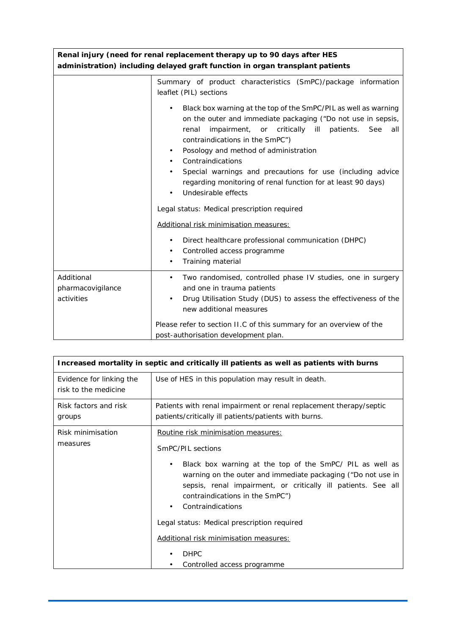| Renal injury (need for renal replacement therapy up to 90 days after HES<br>administration) including delayed graft function in organ transplant patients |                                                                                                                                                                                                                                                                                                                                                                                                                                                                                                                                                                                                                                                                                                         |
|-----------------------------------------------------------------------------------------------------------------------------------------------------------|---------------------------------------------------------------------------------------------------------------------------------------------------------------------------------------------------------------------------------------------------------------------------------------------------------------------------------------------------------------------------------------------------------------------------------------------------------------------------------------------------------------------------------------------------------------------------------------------------------------------------------------------------------------------------------------------------------|
|                                                                                                                                                           | Summary of product characteristics (SmPC)/package information<br>leaflet (PIL) sections<br>Black box warning at the top of the SmPC/PIL as well as warning<br>on the outer and immediate packaging ("Do not use in sepsis,<br>impairment, or critically ill patients.<br>renal<br>See<br>all<br>contraindications in the SmPC")<br>Posology and method of administration<br>٠<br>Contraindications<br>Special warnings and precautions for use (including advice<br>regarding monitoring of renal function for at least 90 days)<br>Undesirable effects<br>Legal status: Medical prescription required<br>Additional risk minimisation measures:<br>Direct healthcare professional communication (DHPC) |
|                                                                                                                                                           | Controlled access programme<br>Training material<br>٠                                                                                                                                                                                                                                                                                                                                                                                                                                                                                                                                                                                                                                                   |
| Additional<br>pharmacovigilance<br>activities                                                                                                             | Two randomised, controlled phase IV studies, one in surgery<br>and one in trauma patients<br>Drug Utilisation Study (DUS) to assess the effectiveness of the<br>new additional measures<br>Please refer to section II.C of this summary for an overview of the                                                                                                                                                                                                                                                                                                                                                                                                                                          |
|                                                                                                                                                           | post-authorisation development plan.                                                                                                                                                                                                                                                                                                                                                                                                                                                                                                                                                                                                                                                                    |

| Increased mortality in septic and critically ill patients as well as patients with burns |                                                                                                                                                                                                                                                                                                                                                              |
|------------------------------------------------------------------------------------------|--------------------------------------------------------------------------------------------------------------------------------------------------------------------------------------------------------------------------------------------------------------------------------------------------------------------------------------------------------------|
| Evidence for linking the<br>risk to the medicine                                         | Use of HES in this population may result in death.                                                                                                                                                                                                                                                                                                           |
| Risk factors and risk<br>groups                                                          | Patients with renal impairment or renal replacement therapy/septic<br>patients/critically ill patients/patients with burns.                                                                                                                                                                                                                                  |
| Risk minimisation<br>measures                                                            | Routine risk minimisation measures:<br>SmPC/PIL sections                                                                                                                                                                                                                                                                                                     |
|                                                                                          | Black box warning at the top of the SmPC/ PIL as well as<br>$\blacksquare$<br>warning on the outer and immediate packaging ("Do not use in<br>sepsis, renal impairment, or critically ill patients. See all<br>contraindications in the SmPC")<br>Contraindications<br>Legal status: Medical prescription required<br>Additional risk minimisation measures: |
|                                                                                          | <b>DHPC</b><br>Controlled access programme                                                                                                                                                                                                                                                                                                                   |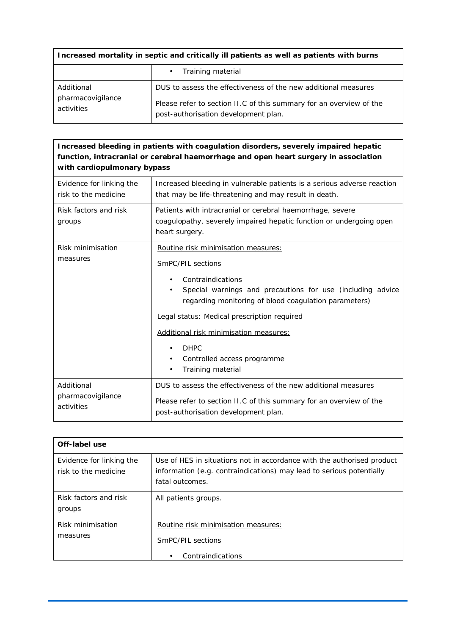| Increased mortality in septic and critically ill patients as well as patients with burns |                                                                                                                                                                               |
|------------------------------------------------------------------------------------------|-------------------------------------------------------------------------------------------------------------------------------------------------------------------------------|
|                                                                                          | Training material                                                                                                                                                             |
| Additional<br>pharmacovigilance<br>activities                                            | DUS to assess the effectiveness of the new additional measures<br>Please refer to section II.C of this summary for an overview of the<br>post-authorisation development plan. |
|                                                                                          |                                                                                                                                                                               |

| Increased bleeding in patients with coagulation disorders, severely impaired hepatic<br>function, intracranial or cerebral haemorrhage and open heart surgery in association<br>with cardiopulmonary bypass |                                                                                                                                                                                                                                                                                                                                                                       |
|-------------------------------------------------------------------------------------------------------------------------------------------------------------------------------------------------------------|-----------------------------------------------------------------------------------------------------------------------------------------------------------------------------------------------------------------------------------------------------------------------------------------------------------------------------------------------------------------------|
| Evidence for linking the<br>risk to the medicine                                                                                                                                                            | Increased bleeding in vulnerable patients is a serious adverse reaction<br>that may be life-threatening and may result in death.                                                                                                                                                                                                                                      |
| Risk factors and risk<br>groups                                                                                                                                                                             | Patients with intracranial or cerebral haemorrhage, severe<br>coagulopathy, severely impaired hepatic function or undergoing open<br>heart surgery.                                                                                                                                                                                                                   |
| Risk minimisation<br>measures                                                                                                                                                                               | Routine risk minimisation measures:<br>SmPC/PIL sections<br>Contraindications<br>Special warnings and precautions for use (including advice<br>regarding monitoring of blood coagulation parameters)<br>Legal status: Medical prescription required<br>Additional risk minimisation measures:<br><b>DHPC</b><br>Controlled access programme<br>٠<br>Training material |
| Additional<br>pharmacovigilance<br>activities                                                                                                                                                               | DUS to assess the effectiveness of the new additional measures<br>Please refer to section II.C of this summary for an overview of the<br>post-authorisation development plan.                                                                                                                                                                                         |

| Off-label use                                    |                                                                                                                                                                   |
|--------------------------------------------------|-------------------------------------------------------------------------------------------------------------------------------------------------------------------|
| Evidence for linking the<br>risk to the medicine | Use of HES in situations not in accordance with the authorised product<br>information (e.g. contraindications) may lead to serious potentially<br>fatal outcomes. |
| Risk factors and risk<br>groups                  | All patients groups.                                                                                                                                              |
| Risk minimisation<br>measures                    | Routine risk minimisation measures:<br>SmPC/PIL sections<br>Contraindications                                                                                     |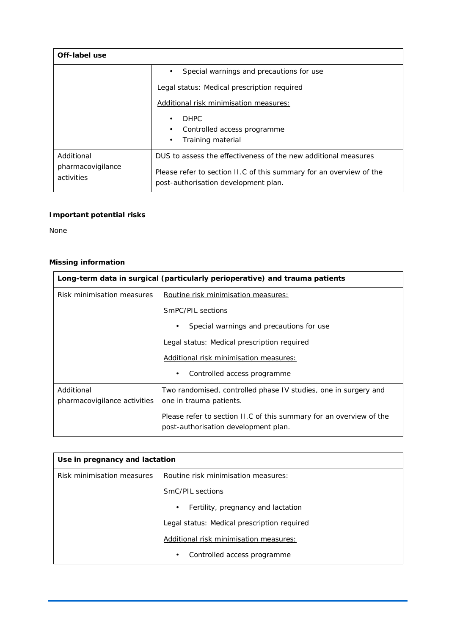| Off-label use                                 |                                                                                                                                                                               |
|-----------------------------------------------|-------------------------------------------------------------------------------------------------------------------------------------------------------------------------------|
|                                               | Special warnings and precautions for use                                                                                                                                      |
|                                               | Legal status: Medical prescription required                                                                                                                                   |
|                                               | Additional risk minimisation measures:                                                                                                                                        |
|                                               | <b>DHPC</b><br>Controlled access programme<br>Training material                                                                                                               |
| Additional<br>pharmacovigilance<br>activities | DUS to assess the effectiveness of the new additional measures<br>Please refer to section II.C of this summary for an overview of the<br>post-authorisation development plan. |

# **Important potential risks**

None

# **Missing information**

| Long-term data in surgical (particularly perioperative) and trauma patients |                                                                                                             |
|-----------------------------------------------------------------------------|-------------------------------------------------------------------------------------------------------------|
| Risk minimisation measures                                                  | Routine risk minimisation measures:                                                                         |
|                                                                             | SmPC/PIL sections                                                                                           |
|                                                                             | Special warnings and precautions for use<br>٠                                                               |
|                                                                             | Legal status: Medical prescription required                                                                 |
|                                                                             | Additional risk minimisation measures:                                                                      |
|                                                                             | Controlled access programme<br>٠                                                                            |
| Additional<br>pharmacovigilance activities                                  | Two randomised, controlled phase IV studies, one in surgery and<br>one in trauma patients.                  |
|                                                                             | Please refer to section II.C of this summary for an overview of the<br>post-authorisation development plan. |

| Use in pregnancy and lactation |                                             |
|--------------------------------|---------------------------------------------|
| Risk minimisation measures     | Routine risk minimisation measures:         |
|                                | SmC/PIL sections                            |
|                                | Fertility, pregnancy and lactation<br>٠     |
|                                | Legal status: Medical prescription required |
|                                | Additional risk minimisation measures:      |
|                                | Controlled access programme<br>٠            |